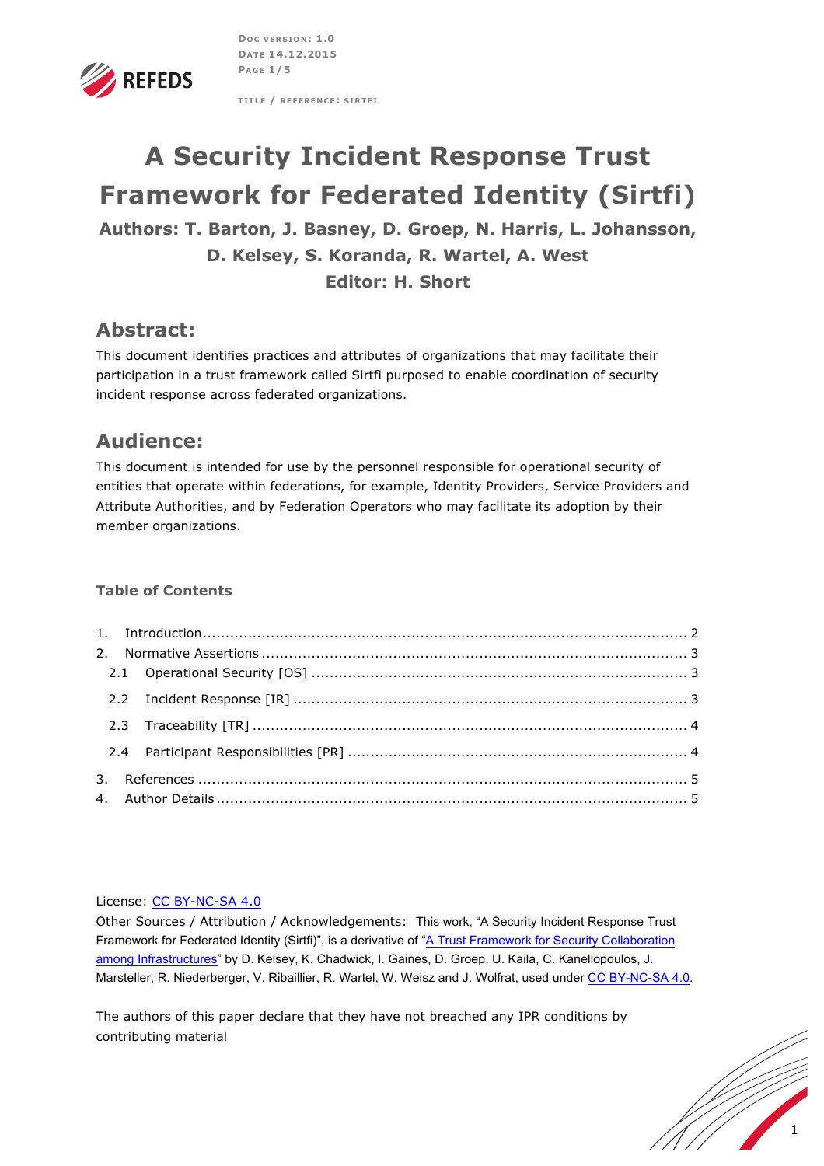



**TITLE / REFERENCE : SIRTFI**

# **A Security Incident Response Trust Framework for Federated Identity (Sirtfi)**

**Authors: T. Barton, J. Basney, D. Groep, N. Harris, L. Johansson, D. Kelsey, S. Koranda, R. Wartel, A. West Editor: H. Short**

## **Abstract:**

This document identifies practices and attributes of organizations that may facilitate their participation in a trust framework called Sirtfi purposed to enable coordination of security incident response across federated organizations.

## **Audience:**

This document is intended for use by the personnel responsible for operational security of entities that operate within federations, for example, Identity Providers, Service Providers and Attribute Authorities, and by Federation Operators who may facilitate its adoption by their member organizations.

#### **Table of Contents**

#### License: CC BY-NC-SA 4.0

Other Sources / Attribution / Acknowledgements: This work, "A Security Incident Response Trust Framework for Federated Identity (Sirtfi)", is a derivative of "A Trust Framework for Security Collaboration among Infrastructures" by D. Kelsey, K. Chadwick, I. Gaines, D. Groep, U. Kaila, C. Kanellopoulos, J. Marsteller, R. Niederberger, V. Ribaillier, R. Wartel, W. Weisz and J. Wolfrat, used under CC BY-NC-SA 4.0.

The authors of this paper declare that they have not breached any IPR conditions by contributing material

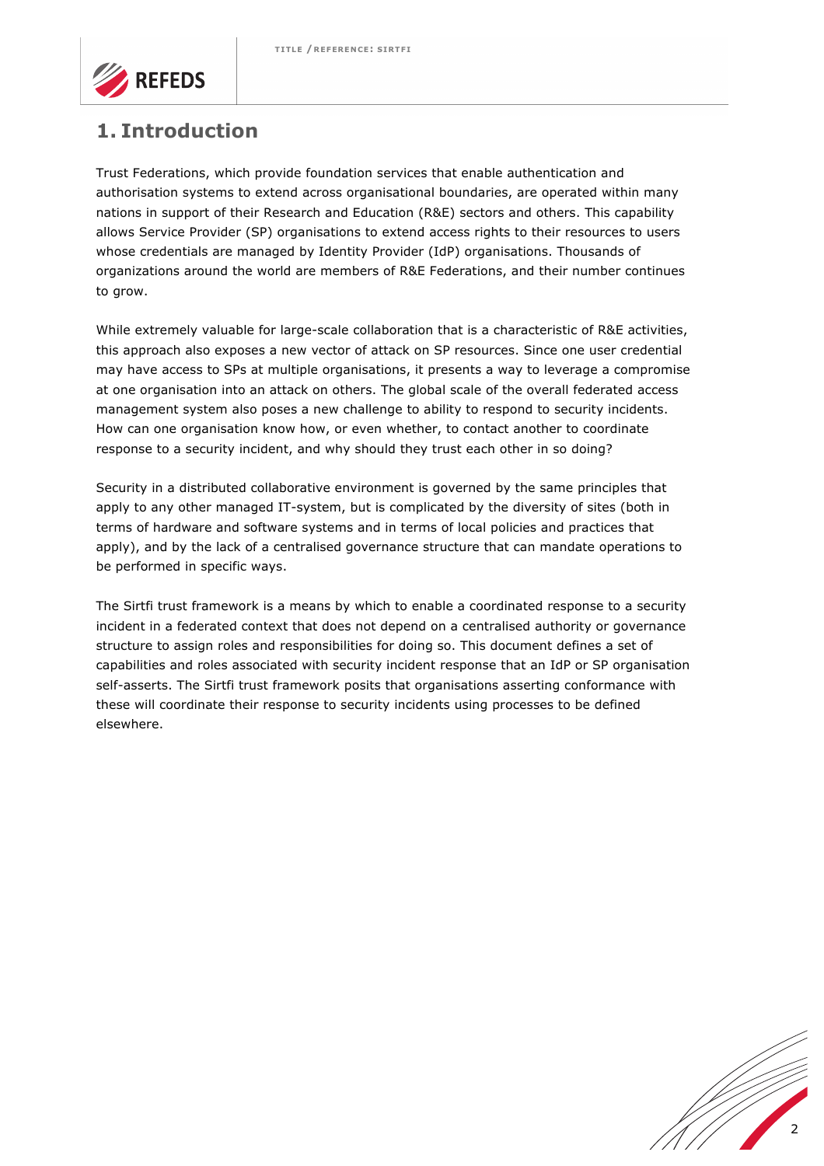

## **1. Introduction**

Trust Federations, which provide foundation services that enable authentication and authorisation systems to extend across organisational boundaries, are operated within many nations in support of their Research and Education (R&E) sectors and others. This capability allows Service Provider (SP) organisations to extend access rights to their resources to users whose credentials are managed by Identity Provider (IdP) organisations. Thousands of organizations around the world are members of R&E Federations, and their number continues to grow.

While extremely valuable for large-scale collaboration that is a characteristic of R&E activities, this approach also exposes a new vector of attack on SP resources. Since one user credential may have access to SPs at multiple organisations, it presents a way to leverage a compromise at one organisation into an attack on others. The global scale of the overall federated access management system also poses a new challenge to ability to respond to security incidents. How can one organisation know how, or even whether, to contact another to coordinate response to a security incident, and why should they trust each other in so doing?

Security in a distributed collaborative environment is governed by the same principles that apply to any other managed IT-system, but is complicated by the diversity of sites (both in terms of hardware and software systems and in terms of local policies and practices that apply), and by the lack of a centralised governance structure that can mandate operations to be performed in specific ways.

The Sirtfi trust framework is a means by which to enable a coordinated response to a security incident in a federated context that does not depend on a centralised authority or governance structure to assign roles and responsibilities for doing so. This document defines a set of capabilities and roles associated with security incident response that an IdP or SP organisation self-asserts. The Sirtfi trust framework posits that organisations asserting conformance with these will coordinate their response to security incidents using processes to be defined elsewhere.

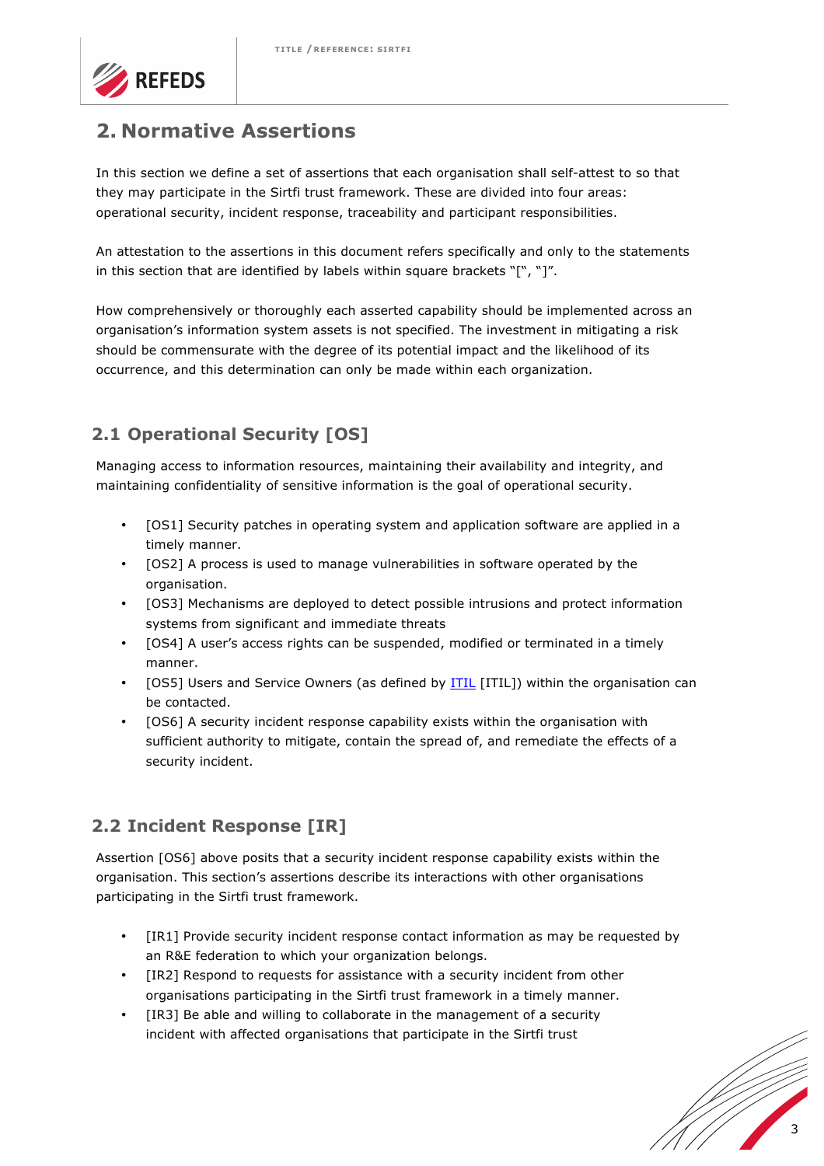

## **2. Normative Assertions**

In this section we define a set of assertions that each organisation shall self-attest to so that they may participate in the Sirtfi trust framework. These are divided into four areas: operational security, incident response, traceability and participant responsibilities.

An attestation to the assertions in this document refers specifically and only to the statements in this section that are identified by labels within square brackets "[", "]".

How comprehensively or thoroughly each asserted capability should be implemented across an organisation's information system assets is not specified. The investment in mitigating a risk should be commensurate with the degree of its potential impact and the likelihood of its occurrence, and this determination can only be made within each organization.

#### **2.1 Operational Security [OS]**

Managing access to information resources, maintaining their availability and integrity, and maintaining confidentiality of sensitive information is the goal of operational security.

- [OS1] Security patches in operating system and application software are applied in a timely manner.
- [OS2] A process is used to manage vulnerabilities in software operated by the organisation.
- [OS3] Mechanisms are deployed to detect possible intrusions and protect information systems from significant and immediate threats
- [OS4] A user's access rights can be suspended, modified or terminated in a timely manner.
- [OS5] Users and Service Owners (as defined by ITIL [ITIL]) within the organisation can be contacted.
- [OS6] A security incident response capability exists within the organisation with sufficient authority to mitigate, contain the spread of, and remediate the effects of a security incident.

#### **2.2 Incident Response [IR]**

Assertion [OS6] above posits that a security incident response capability exists within the organisation. This section's assertions describe its interactions with other organisations participating in the Sirtfi trust framework.

- [IR1] Provide security incident response contact information as may be requested by an R&E federation to which your organization belongs.
- [IR2] Respond to requests for assistance with a security incident from other organisations participating in the Sirtfi trust framework in a timely manner.
- [IR3] Be able and willing to collaborate in the management of a security incident with affected organisations that participate in the Sirtfi trust

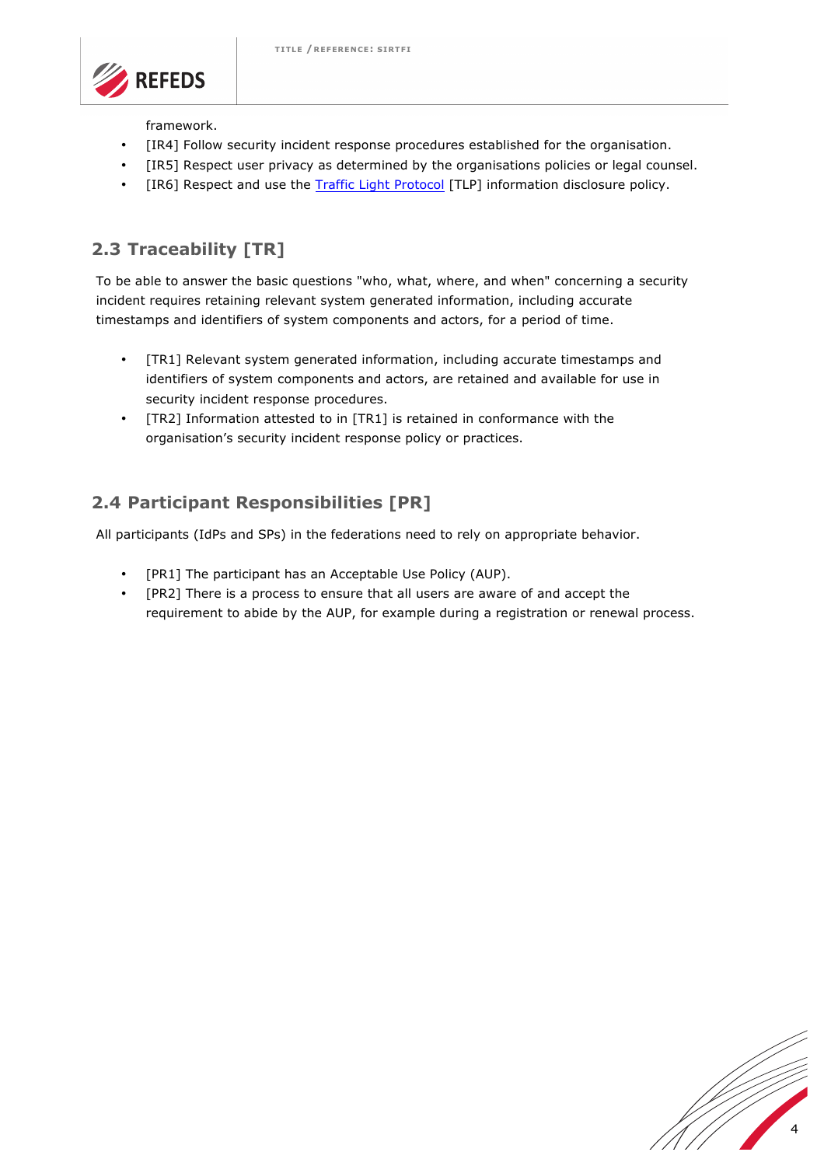

framework.

- [IR4] Follow security incident response procedures established for the organisation.
- [IR5] Respect user privacy as determined by the organisations policies or legal counsel.
- [IR6] Respect and use the Traffic Light Protocol [TLP] information disclosure policy.

### **2.3 Traceability [TR]**

To be able to answer the basic questions "who, what, where, and when" concerning a security incident requires retaining relevant system generated information, including accurate timestamps and identifiers of system components and actors, for a period of time.

- [TR1] Relevant system generated information, including accurate timestamps and identifiers of system components and actors, are retained and available for use in security incident response procedures.
- [TR2] Information attested to in [TR1] is retained in conformance with the organisation's security incident response policy or practices.

#### **2.4 Participant Responsibilities [PR]**

All participants (IdPs and SPs) in the federations need to rely on appropriate behavior.

- [PR1] The participant has an Acceptable Use Policy (AUP).
- [PR2] There is a process to ensure that all users are aware of and accept the requirement to abide by the AUP, for example during a registration or renewal process.